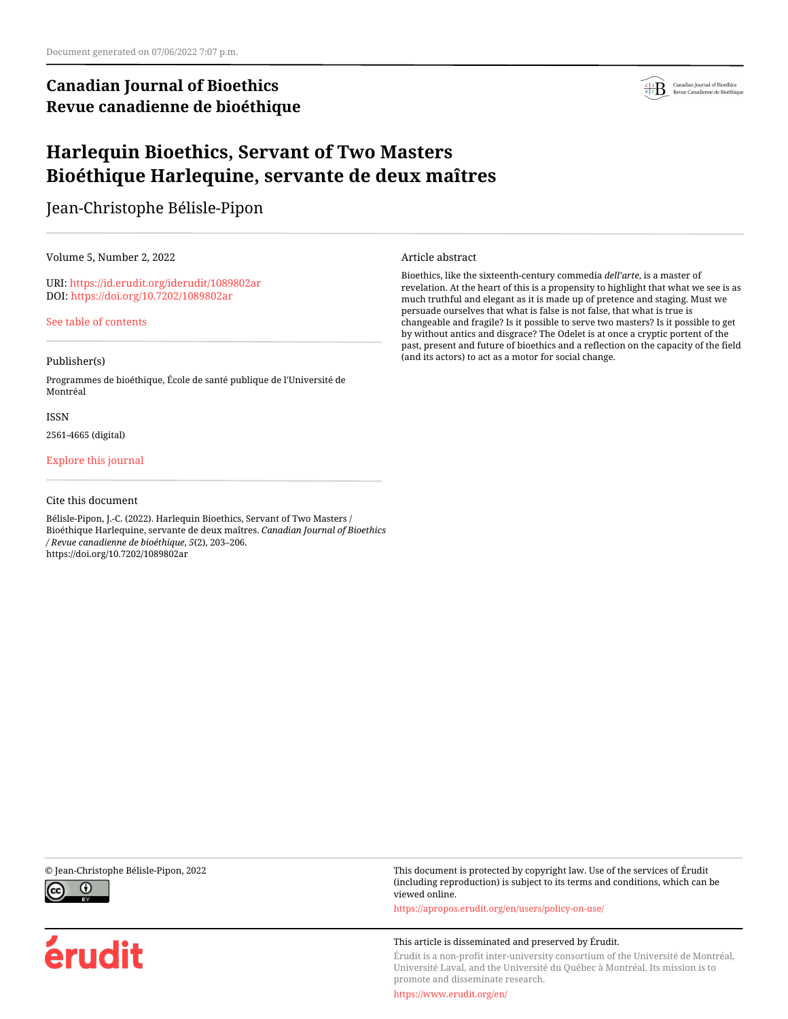# **Canadian Journal of Bioethics Revue canadienne de bioéthique**



# **Harlequin Bioethics, Servant of Two Masters Bioéthique Harlequine, servante de deux maîtres**

Jean-Christophe Bélisle-Pipon

Volume 5, Number 2, 2022

URI:<https://id.erudit.org/iderudit/1089802ar> DOI:<https://doi.org/10.7202/1089802ar>

[See table of contents](https://www.erudit.org/en/journals/bioethics/2022-v5-n2-bioethics07048/)

## Publisher(s)

Programmes de bioéthique, École de santé publique de l'Université de Montréal

### ISSN

2561-4665 (digital)

## [Explore this journal](https://www.erudit.org/en/journals/bioethics/)

## Cite this document

Bélisle-Pipon, J.-C. (2022). Harlequin Bioethics, Servant of Two Masters / Bioéthique Harlequine, servante de deux maîtres. *Canadian Journal of Bioethics / Revue canadienne de bioéthique*, *5*(2), 203–206. https://doi.org/10.7202/1089802ar

### Article abstract

Bioethics, like the sixteenth-century commedia *dell'arte*, is a master of revelation. At the heart of this is a propensity to highlight that what we see is as much truthful and elegant as it is made up of pretence and staging. Must we persuade ourselves that what is false is not false, that what is true is changeable and fragile? Is it possible to serve two masters? Is it possible to get by without antics and disgrace? The Odelet is at once a cryptic portent of the past, present and future of bioethics and a reflection on the capacity of the field (and its actors) to act as a motor for social change.



érudit

© Jean-Christophe Bélisle-Pipon, 2022 This document is protected by copyright law. Use of the services of Érudit (including reproduction) is subject to its terms and conditions, which can be viewed online.

<https://apropos.erudit.org/en/users/policy-on-use/>

### This article is disseminated and preserved by Érudit.

Érudit is a non-profit inter-university consortium of the Université de Montréal, Université Laval, and the Université du Québec à Montréal. Its mission is to promote and disseminate research.

<https://www.erudit.org/en/>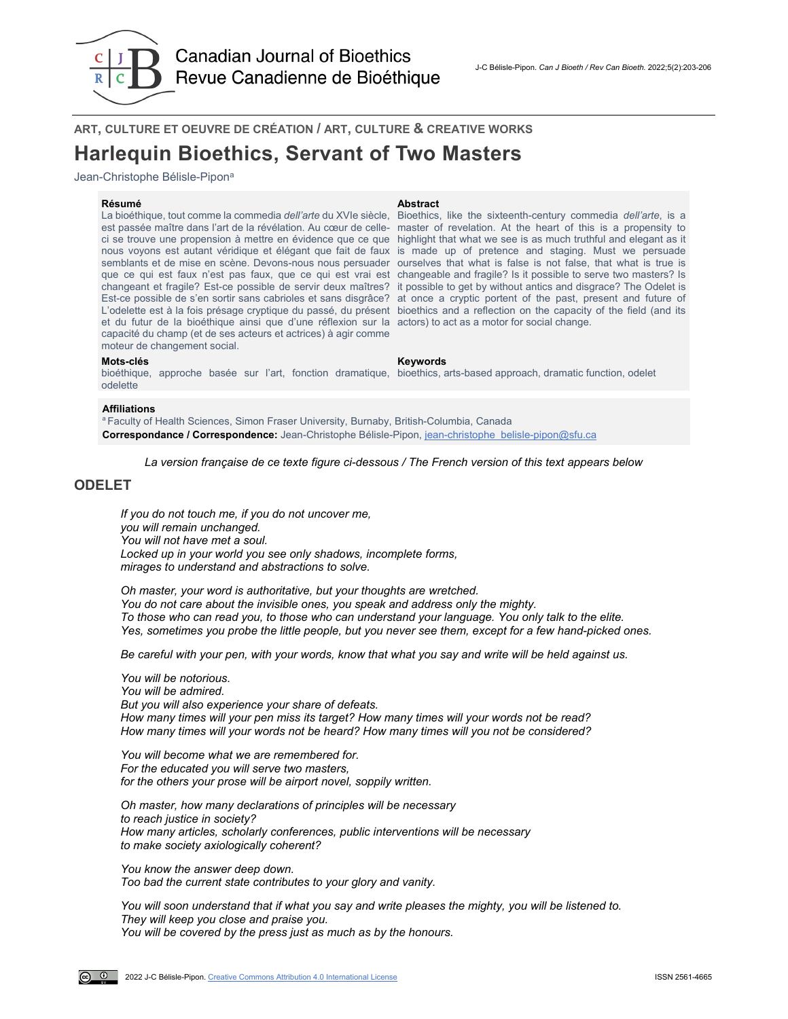

**ART, CULTURE ET OEUVRE DE CRÉATION / ART, CULTURE & CREATIVE WORKS**

# **Harlequin Bioethics, Servant of Two Masters**

Jean-Christophe Bélisle-Pipon<sup>a</sup>

### **Résumé Abstract**

La bioéthique, tout comme la commedia *dell'arte* du XVIe siècle, Bioethics, like the sixteenth-century commedia *dell'arte,* is a est passée maître dans l'art de la révélation. Au cœur de celle-master of revelation. At the heart of this is a propensity to ci se trouve une propension à mettre en évidence que ce que highlight that what we see is as much truthful and elegant as it nous voyons est autant véridique et élégant que fait de faux is made up of pretence and staging. Must we persuade semblants et de mise en scène. Devons-nous nous persuader ourselves that what is false is not false, that what is true is que ce qui est faux n'est pas faux, que ce qui est vrai est changeable and fragile? Is it possible to serve two masters? Is changeant et fragile? Est-ce possible de servir deux maîtres? it possible to get by without antics and disgrace? The Odelet is Est-ce possible de s'en sortir sans cabrioles et sans disgrâce? at once a cryptic portent of the past, present and future of L'odelette est à la fois présage cryptique du passé, du présent bioethics and a reflection on the capacity of the field (and its et du futur de la bioéthique ainsi que d'une réflexion sur la actors) to act as a motor for social change. capacité du champ (et de ses acteurs et actrices) à agir comme moteur de changement social.

### **Mots-clés Keywords**

odelette

bioéthique, approche basée sur l'art, fonction dramatique, bioethics, arts-based approach, dramatic function, odelet

### **Affiliations**

a Faculty of Health Sciences, Simon Fraser University, Burnaby, British-Columbia, Canada **Correspondance / Correspondence:** Jean-Christophe Bélisle-Pipon, [jean-christophe\\_belisle-pipon@sfu.ca](mailto:jean-christophe_belisle-pipon@sfu.ca)

*La version française de ce texte figure ci-dessous / The French version of this text appears below*

# **ODELET**

*If you do not touch me, if you do not uncover me, you will remain unchanged. You will not have met a soul. Locked up in your world you see only shadows, incomplete forms, mirages to understand and abstractions to solve.*

*Oh master, your word is authoritative, but your thoughts are wretched. You do not care about the invisible ones, you speak and address only the mighty. To those who can read you, to those who can understand your language. You only talk to the elite. Yes, sometimes you probe the little people, but you never see them, except for a few hand-picked ones.*

*Be careful with your pen, with your words, know that what you say and write will be held against us.*

*You will be notorious. You will be admired. But you will also experience your share of defeats. How many times will your pen miss its target? How many times will your words not be read? How many times will your words not be heard? How many times will you not be considered?*

*You will become what we are remembered for. For the educated you will serve two masters, for the others your prose will be airport novel, soppily written.*

*Oh master, how many declarations of principles will be necessary to reach justice in society? How many articles, scholarly conferences, public interventions will be necessary to make society axiologically coherent?*

*You know the answer deep down. Too bad the current state contributes to your glory and vanity.*

*You will soon understand that if what you say and write pleases the mighty, you will be listened to. They will keep you close and praise you. You will be covered by the press just as much as by the honours.*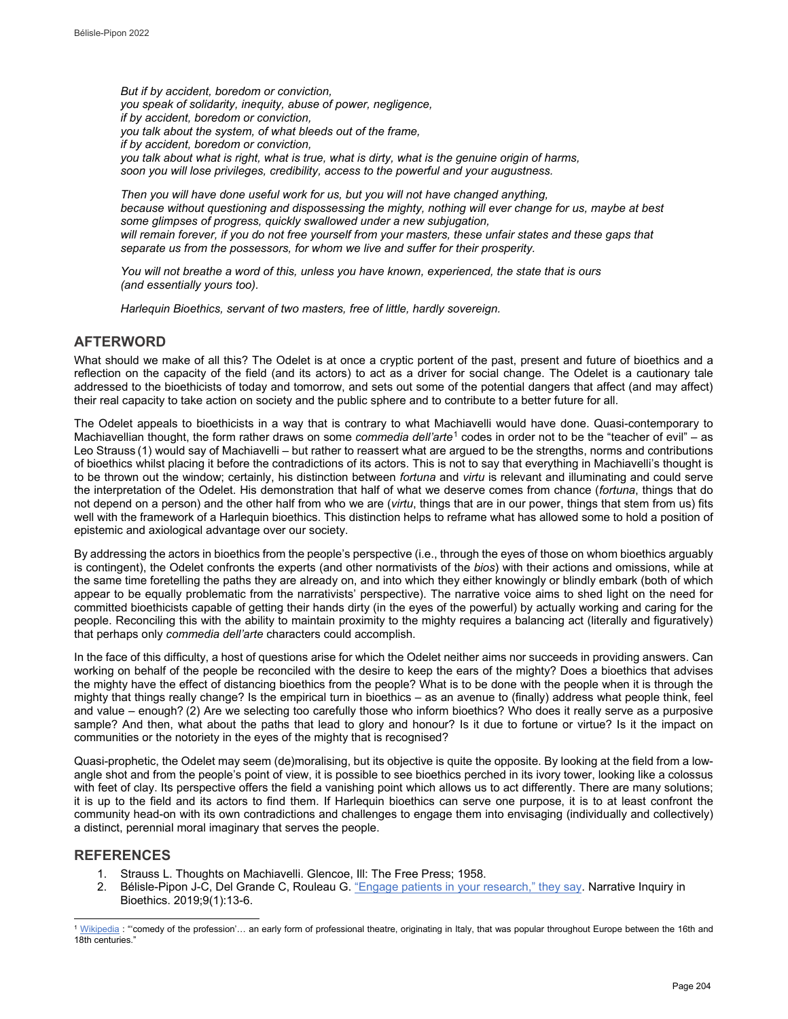*But if by accident, boredom or conviction, you speak of solidarity, inequity, abuse of power, negligence, if by accident, boredom or conviction, you talk about the system, of what bleeds out of the frame, if by accident, boredom or conviction, you talk about what is right, what is true, what is dirty, what is the genuine origin of harms, soon you will lose privileges, credibility, access to the powerful and your augustness.*

*Then you will have done useful work for us, but you will not have changed anything, because without questioning and dispossessing the mighty, nothing will ever change for us, maybe at best some glimpses of progress, quickly swallowed under a new subjugation,* will remain forever, if you do not free yourself from your masters, these unfair states and these gaps that *separate us from the possessors, for whom we live and suffer for their prosperity.*

*You will not breathe a word of this, unless you have known, experienced, the state that is ours (and essentially yours too).*

*Harlequin Bioethics, servant of two masters, free of little, hardly sovereign.*

# **AFTERWORD**

What should we make of all this? The Odelet is at once a cryptic portent of the past, present and future of bioethics and a reflection on the capacity of the field (and its actors) to act as a driver for social change. The Odelet is a cautionary tale addressed to the bioethicists of today and tomorrow, and sets out some of the potential dangers that affect (and may affect) their real capacity to take action on society and the public sphere and to contribute to a better future for all.

The Odelet appeals to bioethicists in a way that is contrary to what Machiavelli would have done. Quasi-contemporary to Machiavellian thought, the form rather draws on some *commedia dell'arte*[1](#page-2-0) codes in order not to be the "teacher of evil" – as Leo Strauss (1) would say of Machiavelli – but rather to reassert what are argued to be the strengths, norms and contributions of bioethics whilst placing it before the contradictions of its actors. This is not to say that everything in Machiavelli's thought is to be thrown out the window; certainly, his distinction between *fortuna* and *virtu* is relevant and illuminating and could serve the interpretation of the Odelet. His demonstration that half of what we deserve comes from chance (*fortuna*, things that do not depend on a person) and the other half from who we are (*virtu*, things that are in our power, things that stem from us) fits well with the framework of a Harlequin bioethics. This distinction helps to reframe what has allowed some to hold a position of epistemic and axiological advantage over our society.

By addressing the actors in bioethics from the people's perspective (i.e., through the eyes of those on whom bioethics arguably is contingent), the Odelet confronts the experts (and other normativists of the *bios*) with their actions and omissions, while at the same time foretelling the paths they are already on, and into which they either knowingly or blindly embark (both of which appear to be equally problematic from the narrativists' perspective). The narrative voice aims to shed light on the need for committed bioethicists capable of getting their hands dirty (in the eyes of the powerful) by actually working and caring for the people. Reconciling this with the ability to maintain proximity to the mighty requires a balancing act (literally and figuratively) that perhaps only *commedia dell'arte* characters could accomplish.

In the face of this difficulty, a host of questions arise for which the Odelet neither aims nor succeeds in providing answers. Can working on behalf of the people be reconciled with the desire to keep the ears of the mighty? Does a bioethics that advises the mighty have the effect of distancing bioethics from the people? What is to be done with the people when it is through the mighty that things really change? Is the empirical turn in bioethics – as an avenue to (finally) address what people think, feel and value – enough? (2) Are we selecting too carefully those who inform bioethics? Who does it really serve as a purposive sample? And then, what about the paths that lead to glory and honour? Is it due to fortune or virtue? Is it the impact on communities or the notoriety in the eyes of the mighty that is recognised?

Quasi-prophetic, the Odelet may seem (de)moralising, but its objective is quite the opposite. By looking at the field from a lowangle shot and from the people's point of view, it is possible to see bioethics perched in its ivory tower, looking like a colossus with feet of clay. Its perspective offers the field a vanishing point which allows us to act differently. There are many solutions; it is up to the field and its actors to find them. If Harlequin bioethics can serve one purpose, it is to at least confront the community head-on with its own contradictions and challenges to engage them into envisaging (individually and collectively) a distinct, perennial moral imaginary that serves the people.

# <span id="page-2-1"></span>**REFERENCES**

- 1. Strauss L. Thoughts on Machiavelli. Glencoe, Ill: The Free Press; 1958.
- 2. Bélisle-Pipon J-C, Del Grande C, Rouleau G[. "Engage patients in your research," they say.](https://muse.jhu.edu/article/722799) Narrative Inquiry in Bioethics. 2019;9(1):13-6.

<span id="page-2-0"></span>l  $1$  [Wikipedia](https://en.wikipedia.org/wiki/Commedia_dell%27arte) : "'comedy of the profession'... an early form of professional theatre, originating in Italy, that was popular throughout Europe between the 16th and 18th centuries."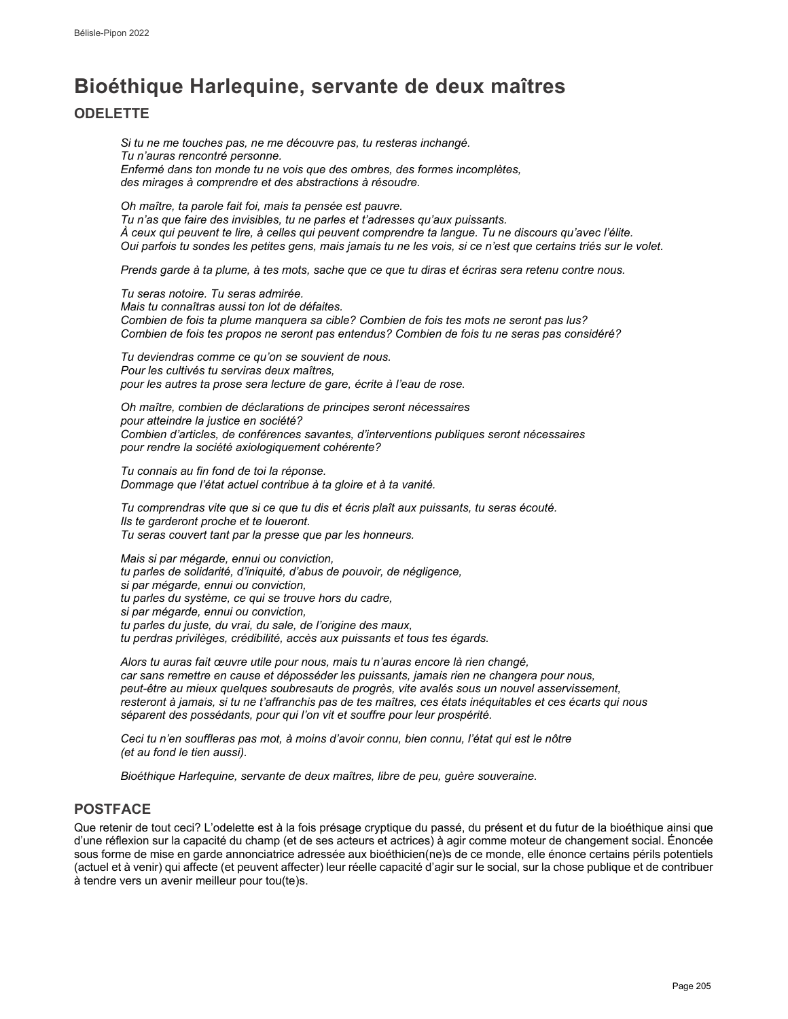# **Bioéthique Harlequine, servante de deux maîtres**

# **ODELETTE**

*Si tu ne me touches pas, ne me découvre pas, tu resteras inchangé. Tu n'auras rencontré personne. Enfermé dans ton monde tu ne vois que des ombres, des formes incomplètes, des mirages à comprendre et des abstractions à résoudre.*

*Oh maître, ta parole fait foi, mais ta pensée est pauvre. Tu n'as que faire des invisibles, tu ne parles et t'adresses qu'aux puissants. À ceux qui peuvent te lire, à celles qui peuvent comprendre ta langue. Tu ne discours qu'avec l'élite. Oui parfois tu sondes les petites gens, mais jamais tu ne les vois, si ce n'est que certains triés sur le volet.*

*Prends garde à ta plume, à tes mots, sache que ce que tu diras et écriras sera retenu contre nous.*

*Tu seras notoire. Tu seras admirée. Mais tu connaîtras aussi ton lot de défaites. Combien de fois ta plume manquera sa cible? Combien de fois tes mots ne seront pas lus? Combien de fois tes propos ne seront pas entendus? Combien de fois tu ne seras pas considéré?*

*Tu deviendras comme ce qu'on se souvient de nous. Pour les cultivés tu serviras deux maîtres, pour les autres ta prose sera lecture de gare, écrite à l'eau de rose.*

*Oh maître, combien de déclarations de principes seront nécessaires pour atteindre la justice en société? Combien d'articles, de conférences savantes, d'interventions publiques seront nécessaires pour rendre la société axiologiquement cohérente?*

*Tu connais au fin fond de toi la réponse. Dommage que l'état actuel contribue à ta gloire et à ta vanité.*

*Tu comprendras vite que si ce que tu dis et écris plaît aux puissants, tu seras écouté. Ils te garderont proche et te loueront. Tu seras couvert tant par la presse que par les honneurs.*

*Mais si par mégarde, ennui ou conviction, tu parles de solidarité, d'iniquité, d'abus de pouvoir, de négligence, si par mégarde, ennui ou conviction, tu parles du système, ce qui se trouve hors du cadre, si par mégarde, ennui ou conviction, tu parles du juste, du vrai, du sale, de l'origine des maux, tu perdras privilèges, crédibilité, accès aux puissants et tous tes égards.*

*Alors tu auras fait œuvre utile pour nous, mais tu n'auras encore là rien changé, car sans remettre en cause et déposséder les puissants, jamais rien ne changera pour nous, peut-être au mieux quelques soubresauts de progrès, vite avalés sous un nouvel asservissement, resteront à jamais, si tu ne t'affranchis pas de tes maîtres, ces états inéquitables et ces écarts qui nous séparent des possédants, pour qui l'on vit et souffre pour leur prospérité.*

*Ceci tu n'en souffleras pas mot, à moins d'avoir connu, bien connu, l'état qui est le nôtre (et au fond le tien aussi).*

*Bioéthique Harlequine, servante de deux maîtres, libre de peu, guère souveraine.*

# **POSTFACE**

Que retenir de tout ceci? L'odelette est à la fois présage cryptique du passé, du présent et du futur de la bioéthique ainsi que d'une réflexion sur la capacité du champ (et de ses acteurs et actrices) à agir comme moteur de changement social. Énoncée sous forme de mise en garde annonciatrice adressée aux bioéthicien(ne)s de ce monde, elle énonce certains périls potentiels (actuel et à venir) qui affecte (et peuvent affecter) leur réelle capacité d'agir sur le social, sur la chose publique et de contribuer à tendre vers un avenir meilleur pour tou(te)s.